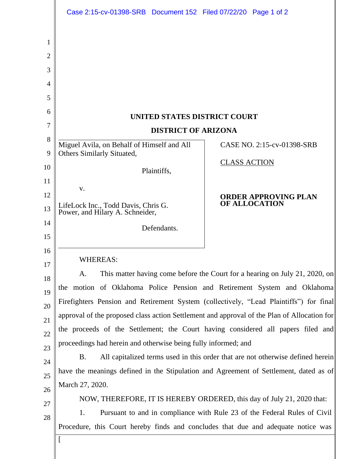| UNITED STATES DISTRICT COURT<br><b>DISTRICT OF ARIZONA</b>                                  |                                                                                |
|---------------------------------------------------------------------------------------------|--------------------------------------------------------------------------------|
| Miguel Avila, on Behalf of Himself and All                                                  | CASE NO. 2:15-cv-01398-SRB                                                     |
| Others Similarly Situated,                                                                  |                                                                                |
| Plaintiffs,                                                                                 | <b>CLASS ACTION</b>                                                            |
| V.                                                                                          |                                                                                |
|                                                                                             | <b>ORDER APPROVING PLAN</b><br><b>OF ALLOCATION</b>                            |
| LifeLock Inc., Todd Davis, Chris G.<br>Power, and Hilary A. Schneider,                      |                                                                                |
| Defendants.                                                                                 |                                                                                |
|                                                                                             |                                                                                |
| <b>WHEREAS:</b>                                                                             |                                                                                |
| A.                                                                                          | This matter having come before the Court for a hearing on July 21, 2020, on    |
| the motion of Oklahoma Police Pension and Retirement System and Oklahoma                    |                                                                                |
| Firefighters Pension and Retirement System (collectively, "Lead Plaintiffs") for final      |                                                                                |
| approval of the proposed class action Settlement and approval of the Plan of Allocation for |                                                                                |
| the proceeds of the Settlement; the Court having considered all papers filed and            |                                                                                |
| proceedings had herein and otherwise being fully informed; and                              |                                                                                |
| <b>B.</b>                                                                                   | All capitalized terms used in this order that are not otherwise defined herein |
| have the meanings defined in the Stipulation and Agreement of Settlement, dated as of       |                                                                                |
| March 27, 2020.                                                                             |                                                                                |
|                                                                                             | NOW, THEREFORE, IT IS HEREBY ORDERED, this day of July 21, 2020 that:          |
|                                                                                             |                                                                                |
| Pursuant to and in compliance with Rule 23 of the Federal Rules of Civil<br>1.              |                                                                                |